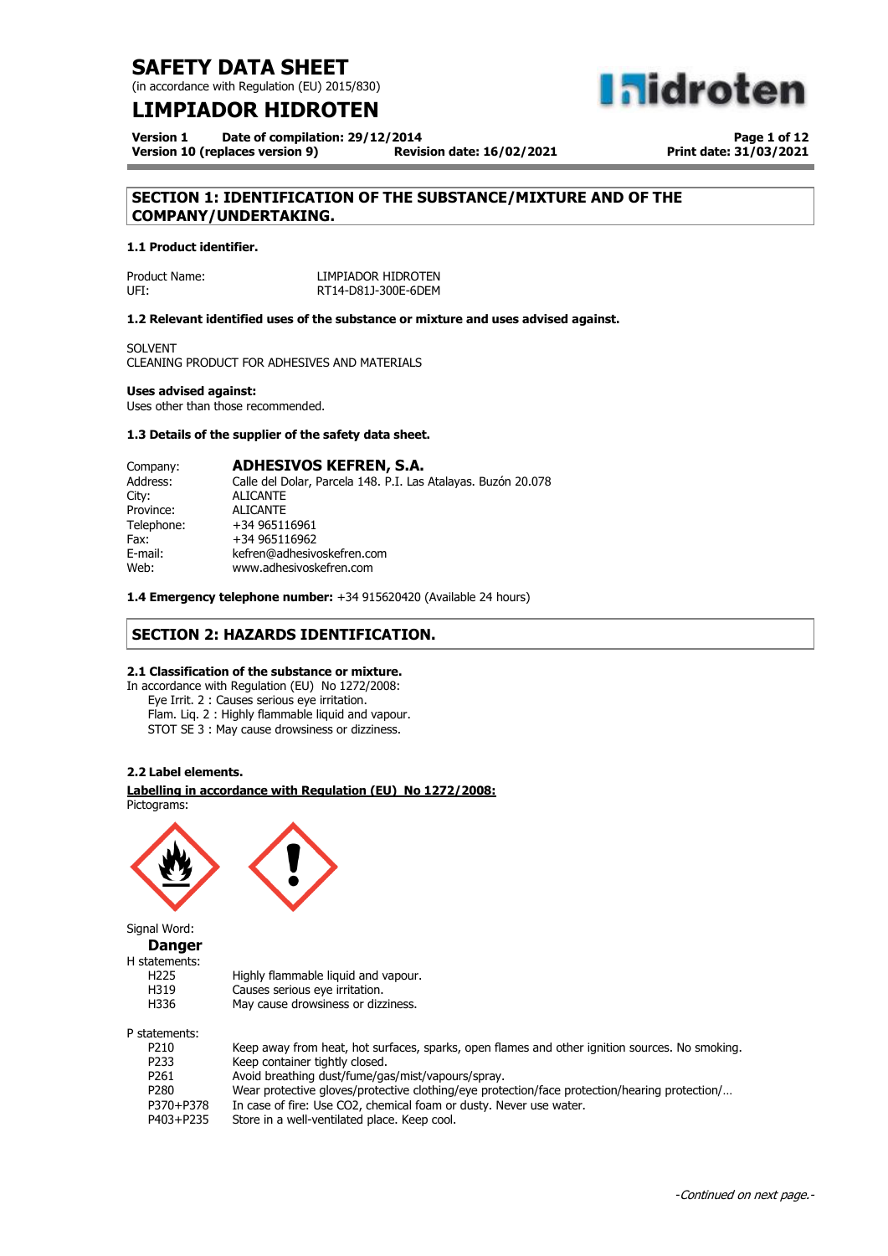(in accordance with Regulation (EU) 2015/830)

## **LIMPIADOR HIDROTEN**

**Version 1 Date of compilation: 29/12/2014 Version 10 (replaces version 9)** 

**Page 1 of 12 Print date: 31/03/2021**

**a**idroten

## **SECTION 1: IDENTIFICATION OF THE SUBSTANCE/MIXTURE AND OF THE COMPANY/UNDERTAKING.**

### **1.1 Product identifier.**

| Product Name: | LIMPIADOR HIDROTEN  |
|---------------|---------------------|
| UFI:          | RT14-D81J-300E-6DEM |

### **1.2 Relevant identified uses of the substance or mixture and uses advised against.**

SOLVENT CLEANING PRODUCT FOR ADHESIVES AND MATERIALS

### **Uses advised against:**

Uses other than those recommended.

### **1.3 Details of the supplier of the safety data sheet.**

| Company:   | <b>ADHESIVOS KEFREN, S.A.</b>                                 |
|------------|---------------------------------------------------------------|
| Address:   | Calle del Dolar, Parcela 148. P.I. Las Atalayas. Buzón 20.078 |
| City:      | <b>ALICANTE</b>                                               |
| Province:  | <b>ALICANTE</b>                                               |
| Telephone: | +34 965116961                                                 |
| Fax:       | +34 965116962                                                 |
| E-mail:    | kefren@adhesivoskefren.com                                    |
| Web:       | www.adhesivoskefren.com                                       |

**1.4 Emergency telephone number:** +34 915620420 (Available 24 hours)

### **SECTION 2: HAZARDS IDENTIFICATION.**

### **2.1 Classification of the substance or mixture.**

In accordance with Regulation (EU) No 1272/2008: Eye Irrit. 2 : Causes serious eye irritation. Flam. Liq. 2 : Highly flammable liquid and vapour. STOT SE 3 : May cause drowsiness or dizziness.

### **2.2 Label elements.**

**Labelling in accordance with Regulation (EU) No 1272/2008:** Pictograms:



Signal Word: **Danger**

| H statements: |  |
|---------------|--|
|               |  |

| H225 | Highly flammable liguid and vapour. |
|------|-------------------------------------|
| H319 | Causes serious eye irritation.      |
| H336 | May cause drowsiness or dizziness.  |

H336 P statements:

| P210      | Keep away from heat, hot surfaces, sparks, open flames and other ignition sources. No smoking. |
|-----------|------------------------------------------------------------------------------------------------|
| P233      | Keep container tightly closed.                                                                 |
| P261      | Avoid breathing dust/fume/gas/mist/vapours/spray.                                              |
| P280      | Wear protective gloves/protective clothing/eye protection/face protection/hearing protection/  |
| P370+P378 | In case of fire: Use CO2, chemical foam or dusty. Never use water.                             |
| P403+P235 | Store in a well-ventilated place. Keep cool.                                                   |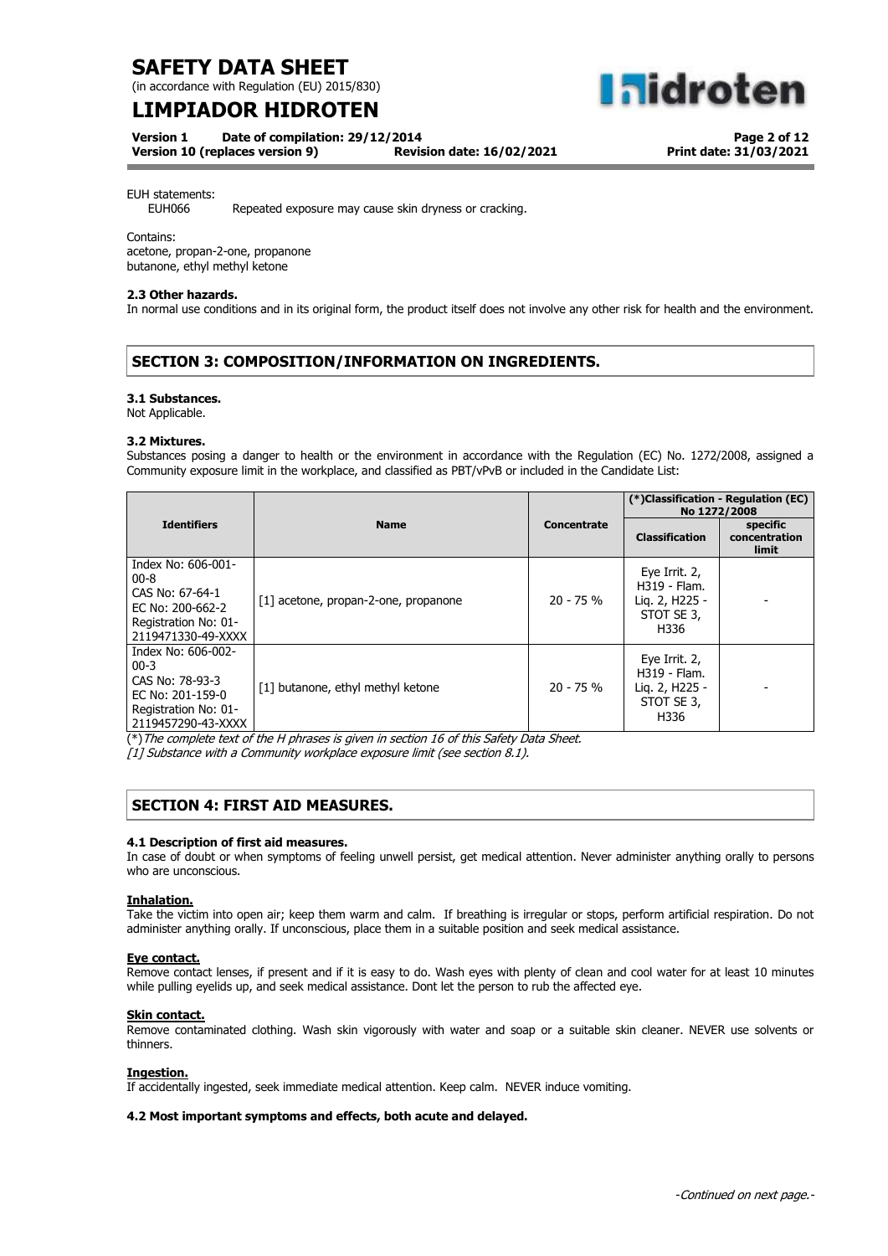(in accordance with Regulation (EU) 2015/830)

## **LIMPIADOR HIDROTEN**

**Version 1 Date of compilation: 29/12/2014**

**Version 10 (replaces version 9) Revision date: 16/02/2021**

**Page 2 of 12 Print date: 31/03/2021**

**aldroten** 

EUH statements:

EUH066 Repeated exposure may cause skin dryness or cracking.

Contains:

acetone, propan-2-one, propanone butanone, ethyl methyl ketone

### **2.3 Other hazards.**

In normal use conditions and in its original form, the product itself does not involve any other risk for health and the environment.

### **SECTION 3: COMPOSITION/INFORMATION ON INGREDIENTS.**

### **3.1 Substances.**

Not Applicable.

### **3.2 Mixtures.**

Substances posing a danger to health or the environment in accordance with the Regulation (EC) No. 1272/2008, assigned a Community exposure limit in the workplace, and classified as PBT/vPvB or included in the Candidate List:

|                                                                                                                     |                                      |             | (*)Classification - Regulation (EC)<br>No 1272/2008                   |                                           |
|---------------------------------------------------------------------------------------------------------------------|--------------------------------------|-------------|-----------------------------------------------------------------------|-------------------------------------------|
| <b>Identifiers</b>                                                                                                  | <b>Name</b>                          | Concentrate | <b>Classification</b>                                                 | specific<br>concentration<br><b>limit</b> |
| Index No: 606-001-<br>$00 - 8$<br>CAS No: 67-64-1<br>EC No: 200-662-2<br>Registration No: 01-<br>2119471330-49-XXXX | [1] acetone, propan-2-one, propanone | $20 - 75%$  | Eye Irrit. 2,<br>H319 - Flam.<br>Lig. 2, H225 -<br>STOT SE 3,<br>H336 |                                           |
| Index No: 606-002-<br>$00 - 3$<br>CAS No: 78-93-3<br>EC No: 201-159-0<br>Registration No: 01-<br>2119457290-43-XXXX | [1] butanone, ethyl methyl ketone    | $20 - 75%$  | Eye Irrit. 2,<br>H319 - Flam.<br>Lig. 2, H225 -<br>STOT SE 3,<br>H336 |                                           |

(\*)The complete text of the H phrases is given in section 16 of this Safety Data Sheet.

[1] Substance with a Community workplace exposure limit (see section 8.1).

### **SECTION 4: FIRST AID MEASURES.**

### **4.1 Description of first aid measures.**

In case of doubt or when symptoms of feeling unwell persist, get medical attention. Never administer anything orally to persons who are unconscious.

### **Inhalation.**

Take the victim into open air; keep them warm and calm. If breathing is irregular or stops, perform artificial respiration. Do not administer anything orally. If unconscious, place them in a suitable position and seek medical assistance.

### **Eye contact.**

Remove contact lenses, if present and if it is easy to do. Wash eyes with plenty of clean and cool water for at least 10 minutes while pulling eyelids up, and seek medical assistance. Dont let the person to rub the affected eye.

### **Skin contact.**

Remove contaminated clothing. Wash skin vigorously with water and soap or a suitable skin cleaner. NEVER use solvents or thinners.

### **Ingestion.**

If accidentally ingested, seek immediate medical attention. Keep calm. NEVER induce vomiting.

### **4.2 Most important symptoms and effects, both acute and delayed.**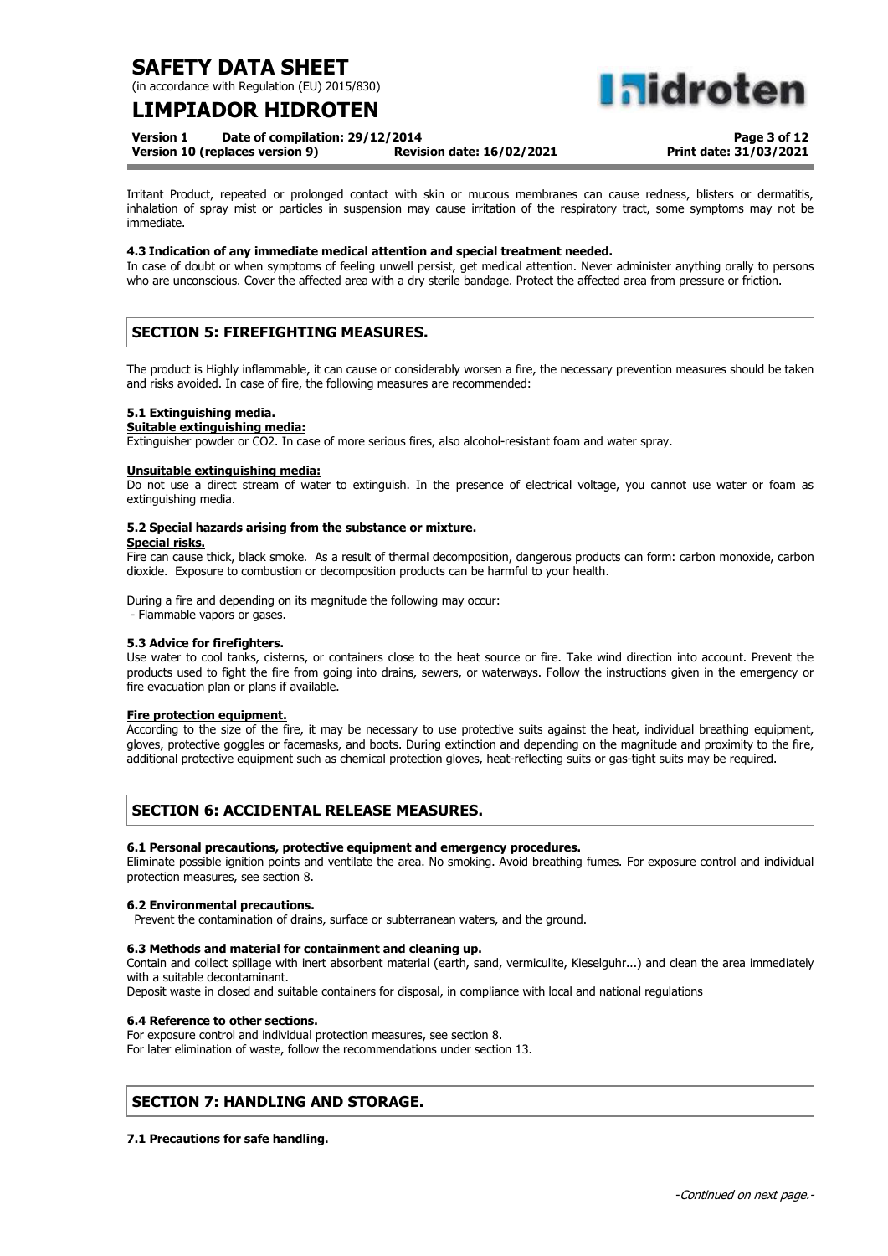(in accordance with Regulation (EU) 2015/830)

## **LIMPIADOR HIDROTEN**

**Version 1 Date of compilation: 29/12/2014**

**Version 10 (replaces version 9) Revision date: 16/02/2021**

**Page 3 of 12**

**Print date: 31/03/2021**

**alidrote** 

Irritant Product, repeated or prolonged contact with skin or mucous membranes can cause redness, blisters or dermatitis, inhalation of spray mist or particles in suspension may cause irritation of the respiratory tract, some symptoms may not be immediate.

### **4.3 Indication of any immediate medical attention and special treatment needed.**

In case of doubt or when symptoms of feeling unwell persist, get medical attention. Never administer anything orally to persons who are unconscious. Cover the affected area with a dry sterile bandage. Protect the affected area from pressure or friction.

## **SECTION 5: FIREFIGHTING MEASURES.**

The product is Highly inflammable, it can cause or considerably worsen a fire, the necessary prevention measures should be taken and risks avoided. In case of fire, the following measures are recommended:

### **5.1 Extinguishing media.**

### **Suitable extinguishing media:**

Extinguisher powder or CO2. In case of more serious fires, also alcohol-resistant foam and water spray.

#### **Unsuitable extinguishing media:**

Do not use a direct stream of water to extinguish. In the presence of electrical voltage, you cannot use water or foam as extinguishing media.

### **5.2 Special hazards arising from the substance or mixture.**

#### **Special risks.**

Fire can cause thick, black smoke. As a result of thermal decomposition, dangerous products can form: carbon monoxide, carbon dioxide. Exposure to combustion or decomposition products can be harmful to your health.

During a fire and depending on its magnitude the following may occur:

- Flammable vapors or gases.

### **5.3 Advice for firefighters.**

Use water to cool tanks, cisterns, or containers close to the heat source or fire. Take wind direction into account. Prevent the products used to fight the fire from going into drains, sewers, or waterways. Follow the instructions given in the emergency or fire evacuation plan or plans if available.

### **Fire protection equipment.**

According to the size of the fire, it may be necessary to use protective suits against the heat, individual breathing equipment, gloves, protective goggles or facemasks, and boots. During extinction and depending on the magnitude and proximity to the fire, additional protective equipment such as chemical protection gloves, heat-reflecting suits or gas-tight suits may be required.

## **SECTION 6: ACCIDENTAL RELEASE MEASURES.**

### **6.1 Personal precautions, protective equipment and emergency procedures.**

Eliminate possible ignition points and ventilate the area. No smoking. Avoid breathing fumes. For exposure control and individual protection measures, see section 8.

### **6.2 Environmental precautions.**

Prevent the contamination of drains, surface or subterranean waters, and the ground.

### **6.3 Methods and material for containment and cleaning up.**

Contain and collect spillage with inert absorbent material (earth, sand, vermiculite, Kieselguhr...) and clean the area immediately with a suitable decontaminant.

Deposit waste in closed and suitable containers for disposal, in compliance with local and national regulations

### **6.4 Reference to other sections.**

For exposure control and individual protection measures, see section 8. For later elimination of waste, follow the recommendations under section 13.

## **SECTION 7: HANDLING AND STORAGE.**

### **7.1 Precautions for safe handling.**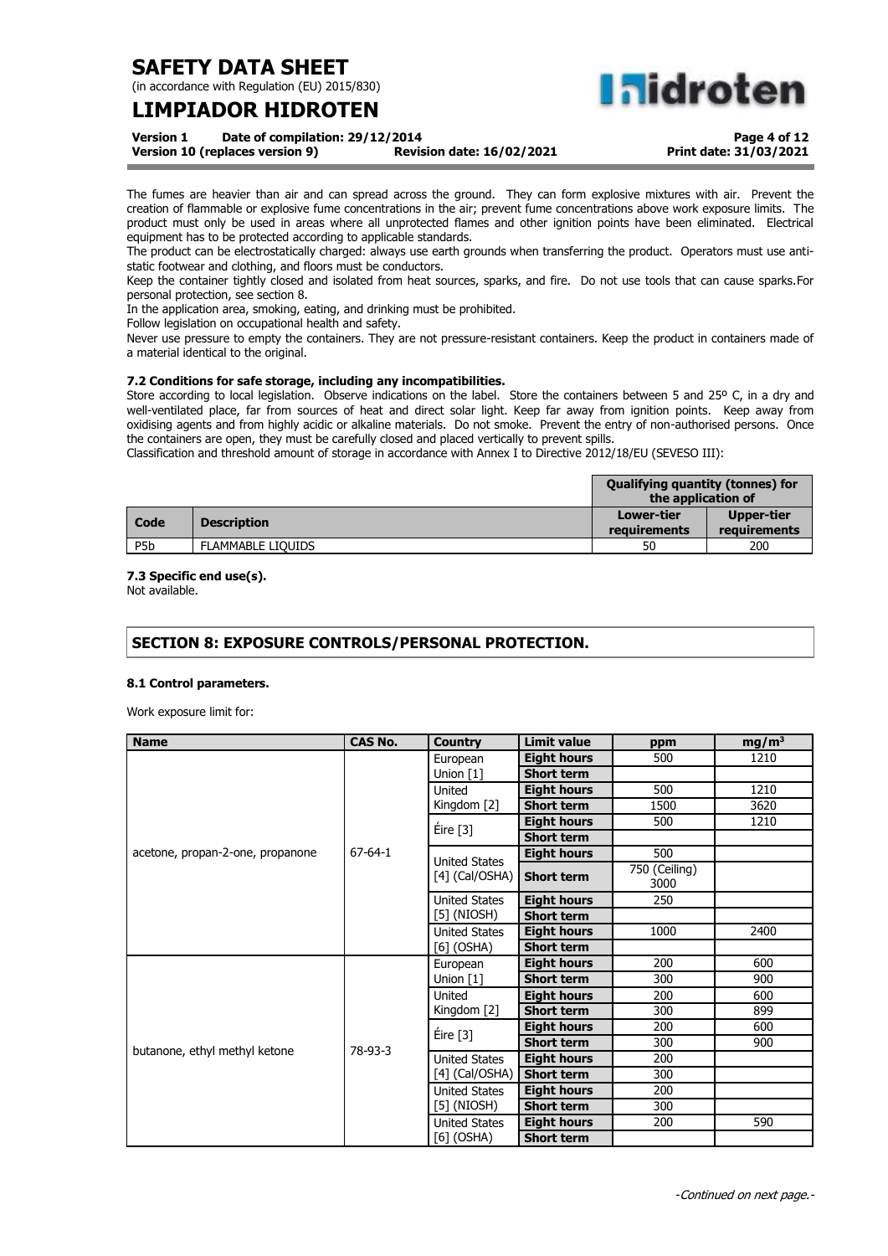(in accordance with Regulation (EU) 2015/830)

## **LIMPIADOR HIDROTEN**

**hidroten** 

**Version 1 Date of compilation: 29/12/2014 Version 10 (replaces version 9)** 

**Page 4 of 12 Print date: 31/03/2021**

The fumes are heavier than air and can spread across the ground. They can form explosive mixtures with air. Prevent the creation of flammable or explosive fume concentrations in the air; prevent fume concentrations above work exposure limits. The product must only be used in areas where all unprotected flames and other ignition points have been eliminated. Electrical equipment has to be protected according to applicable standards.

The product can be electrostatically charged: always use earth grounds when transferring the product. Operators must use antistatic footwear and clothing, and floors must be conductors.

Keep the container tightly closed and isolated from heat sources, sparks, and fire. Do not use tools that can cause sparks.For personal protection, see section 8.

In the application area, smoking, eating, and drinking must be prohibited.

Follow legislation on occupational health and safety.

Never use pressure to empty the containers. They are not pressure-resistant containers. Keep the product in containers made of a material identical to the original.

### **7.2 Conditions for safe storage, including any incompatibilities.**

Store according to local legislation. Observe indications on the label. Store the containers between 5 and 25° C, in a dry and well-ventilated place, far from sources of heat and direct solar light. Keep far away from ignition points. Keep away from oxidising agents and from highly acidic or alkaline materials. Do not smoke. Prevent the entry of non-authorised persons. Once the containers are open, they must be carefully closed and placed vertically to prevent spills.

Classification and threshold amount of storage in accordance with Annex I to Directive 2012/18/EU (SEVESO III):

|                  |                          | <b>Qualifying quantity (tonnes) for</b><br>the application of |                            |
|------------------|--------------------------|---------------------------------------------------------------|----------------------------|
| Code             | <b>Description</b>       | Lower-tier<br>requirements                                    | Upper-tier<br>requirements |
| P <sub>5</sub> b | <b>FLAMMABLE LIOUIDS</b> | 50                                                            | 200                        |

### **7.3 Specific end use(s).**

Not available.

### **SECTION 8: EXPOSURE CONTROLS/PERSONAL PROTECTION.**

### **8.1 Control parameters.**

Work exposure limit for:

| <b>Name</b>                      | <b>CAS No.</b> | <b>Country</b>       | <b>Limit value</b> | ppm                   | $mg/m^3$ |
|----------------------------------|----------------|----------------------|--------------------|-----------------------|----------|
|                                  |                | European             | <b>Eight hours</b> | 500                   | 1210     |
|                                  |                | Union [1]            | <b>Short term</b>  |                       |          |
|                                  |                | United               | <b>Eight hours</b> | 500                   | 1210     |
|                                  |                | Kingdom [2]          | <b>Short term</b>  | 1500                  | 3620     |
|                                  |                | Éire [3]             | <b>Eight hours</b> | 500                   | 1210     |
|                                  |                |                      | <b>Short term</b>  |                       |          |
| acetone, propan-2-one, propanone | 67-64-1        | <b>United States</b> | <b>Eight hours</b> | 500                   |          |
|                                  |                | $[4]$ (Cal/OSHA)     | <b>Short term</b>  | 750 (Ceiling)<br>3000 |          |
|                                  |                | <b>United States</b> | <b>Eight hours</b> | 250                   |          |
|                                  |                | $[5]$ (NIOSH)        | <b>Short term</b>  |                       |          |
|                                  |                | <b>United States</b> | <b>Eight hours</b> | 1000                  | 2400     |
|                                  |                | $[6]$ (OSHA)         | <b>Short term</b>  |                       |          |
|                                  |                | European             | <b>Eight hours</b> | 200                   | 600      |
|                                  |                | Union $[1]$          | <b>Short term</b>  | 300                   | 900      |
|                                  |                | United               | <b>Eight hours</b> | 200                   | 600      |
|                                  |                | Kingdom [2]          | <b>Short term</b>  | 300                   | 899      |
|                                  |                | Eire [3]             | <b>Eight hours</b> | 200                   | 600      |
| butanone, ethyl methyl ketone    | 78-93-3        |                      | <b>Short term</b>  | 300                   | 900      |
|                                  |                | <b>United States</b> | <b>Eight hours</b> | 200                   |          |
|                                  |                | $[4]$ (Cal/OSHA)     | <b>Short term</b>  | 300                   |          |
|                                  |                | United States        | <b>Eight hours</b> | 200                   |          |
|                                  |                | $[5]$ (NIOSH)        | <b>Short term</b>  | 300                   |          |
|                                  |                | <b>United States</b> | <b>Eight hours</b> | 200                   | 590      |
|                                  |                | $[6]$ (OSHA)         | <b>Short term</b>  |                       |          |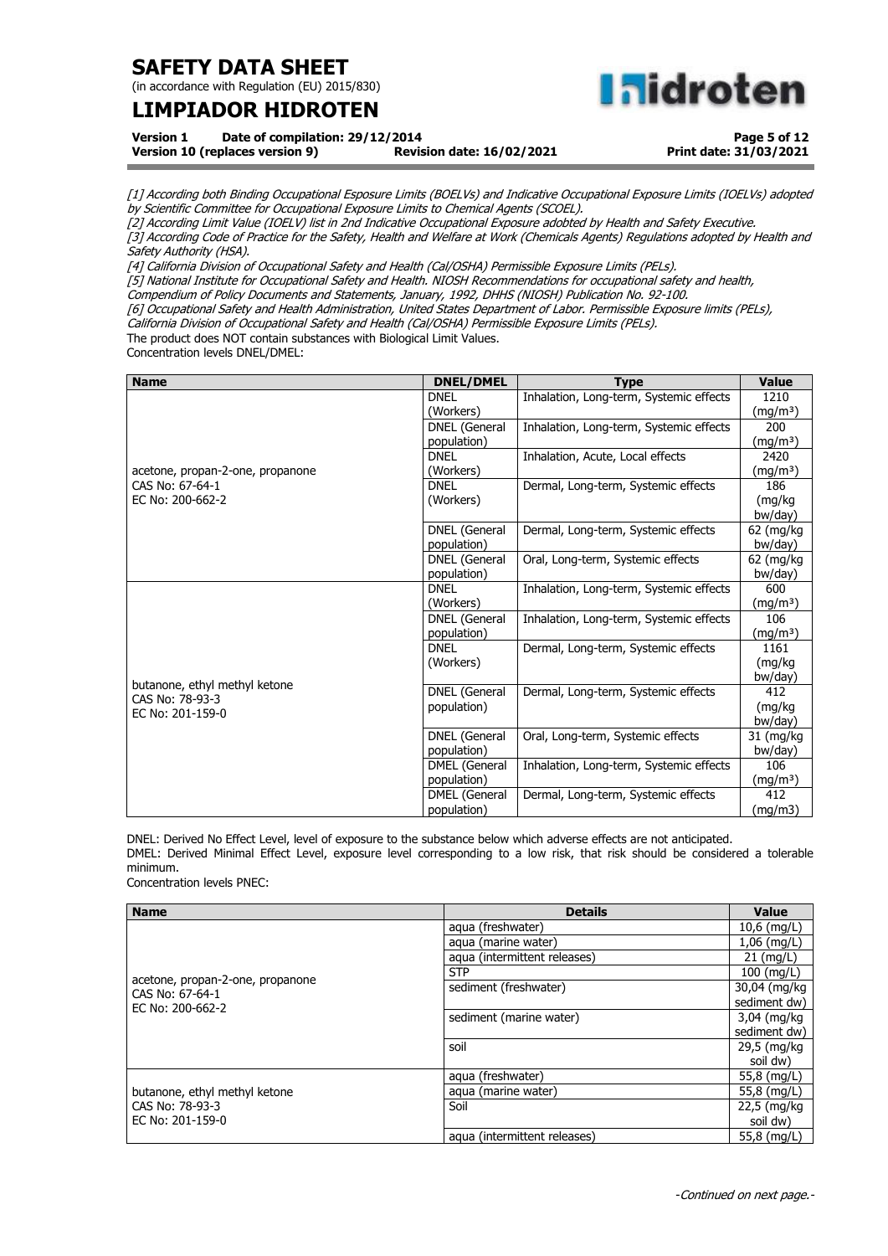(in accordance with Regulation (EU) 2015/830)

# **LIMPIADOR HIDROTEN**

**Inidroten** 

**Version 1 Date of compilation: 29/12/2014**

**Version 10 (replaces version 9)** 

**Page 5 of 12 Print date: 31/03/2021**

[1] According both Binding Occupational Esposure Limits (BOELVs) and Indicative Occupational Exposure Limits (IOELVs) adopted by Scientific Committee for Occupational Exposure Limits to Chemical Agents (SCOEL).

[2] According Limit Value (IOELV) list in 2nd Indicative Occupational Exposure adobted by Health and Safety Executive. [3] According Code of Practice for the Safety, Health and Welfare at Work (Chemicals Agents) Regulations adopted by Health and

<u>.</u><br>Safety Authority (HSA).

[4] California Division of Occupational Safety and Health (Cal/OSHA) Permissible Exposure Limits (PELs).

[5] National Institute for Occupational Safety and Health. NIOSH Recommendations for occupational safety and health,

Compendium of Policy Documents and Statements, January, 1992, DHHS (NIOSH) Publication No. 92-100.

[6] Occupational Safety and Health Administration, United States Department of Labor. Permissible Exposure limits (PELs),

California Division of Occupational Safety and Health (Cal/OSHA) Permissible Exposure Limits (PELs).

The product does NOT contain substances with Biological Limit Values.

Concentration levels DNEL/DMEL:

| <b>Name</b>                      | <b>DNEL/DMEL</b>     | <b>Type</b>                             | <b>Value</b>         |
|----------------------------------|----------------------|-----------------------------------------|----------------------|
|                                  | <b>DNEL</b>          | Inhalation, Long-term, Systemic effects | 1210                 |
|                                  | (Workers)            |                                         | (mg/m <sup>3</sup> ) |
|                                  | DNEL (General        | Inhalation, Long-term, Systemic effects | 200                  |
|                                  | population)          |                                         | (mg/mª)              |
|                                  | <b>DNEL</b>          | Inhalation, Acute, Local effects        | 2420                 |
| acetone, propan-2-one, propanone | (Workers)            |                                         | (mg/mª)              |
| CAS No: 67-64-1                  | <b>DNEL</b>          | Dermal, Long-term, Systemic effects     | 186                  |
| EC No: 200-662-2                 | (Workers)            |                                         | (mg/kg               |
|                                  |                      |                                         | bw/day)              |
|                                  | <b>DNEL</b> (General | Dermal, Long-term, Systemic effects     | 62 (mg/kg            |
|                                  | population)          |                                         | bw/day)              |
|                                  | <b>DNEL</b> (General | Oral, Long-term, Systemic effects       | 62 (mg/kg            |
|                                  | population)          |                                         | bw/day)              |
|                                  | <b>DNEL</b>          | Inhalation, Long-term, Systemic effects | 600                  |
|                                  | (Workers)            |                                         | (mg/m <sup>3</sup> ) |
|                                  | DNEL (General        | Inhalation, Long-term, Systemic effects | 106                  |
|                                  | population)          |                                         | $(mg/m^3)$           |
|                                  | <b>DNEL</b>          | Dermal, Long-term, Systemic effects     | 1161                 |
|                                  | (Workers)            |                                         | (mg/kg               |
| butanone, ethyl methyl ketone    |                      |                                         | bw/day)              |
| CAS No: 78-93-3                  | <b>DNEL</b> (General | Dermal, Long-term, Systemic effects     | 412                  |
| EC No: 201-159-0                 | population)          |                                         | (mg/kg               |
|                                  |                      |                                         | bw/day)              |
|                                  | <b>DNEL</b> (General | Oral, Long-term, Systemic effects       | 31 (mg/kg            |
|                                  | population)          |                                         | bw/day)              |
|                                  | DMEL (General        | Inhalation, Long-term, Systemic effects | 106                  |
|                                  | population)          |                                         | (mg/m <sup>3</sup> ) |
|                                  | DMEL (General        | Dermal, Long-term, Systemic effects     | 412                  |
|                                  | population)          |                                         | (mg/m3)              |

DNEL: Derived No Effect Level, level of exposure to the substance below which adverse effects are not anticipated. DMEL: Derived Minimal Effect Level, exposure level corresponding to a low risk, that risk should be considered a tolerable minimum.

Concentration levels PNEC:

| <b>Name</b>                                                             | <b>Details</b>               | <b>Value</b>        |
|-------------------------------------------------------------------------|------------------------------|---------------------|
|                                                                         | aqua (freshwater)            | $10,6$ (mg/L)       |
|                                                                         | aqua (marine water)          | $1,06$ (mg/L)       |
|                                                                         | aqua (intermittent releases) | $21 \text{ (mq/L)}$ |
|                                                                         | <b>STP</b>                   | $100$ (mg/L)        |
| acetone, propan-2-one, propanone<br>CAS No: 67-64-1<br>EC No: 200-662-2 | sediment (freshwater)        | 30,04 (mg/kg)       |
|                                                                         |                              | sediment dw)        |
|                                                                         | sediment (marine water)      | 3,04 (mg/kg)        |
|                                                                         |                              | sediment dw)        |
|                                                                         | soil                         | 29,5 (mg/kg)        |
|                                                                         |                              | soil dw)            |
|                                                                         | aqua (freshwater)            | 55,8 (mg/L)         |
| butanone, ethyl methyl ketone                                           | aqua (marine water)          | 55,8 (mg/L)         |
| CAS No: 78-93-3                                                         | Soil                         | 22,5 (mg/kg         |
| EC No: 201-159-0                                                        |                              | soil dw)            |
|                                                                         | aqua (intermittent releases) | 55,8 (mg/L)         |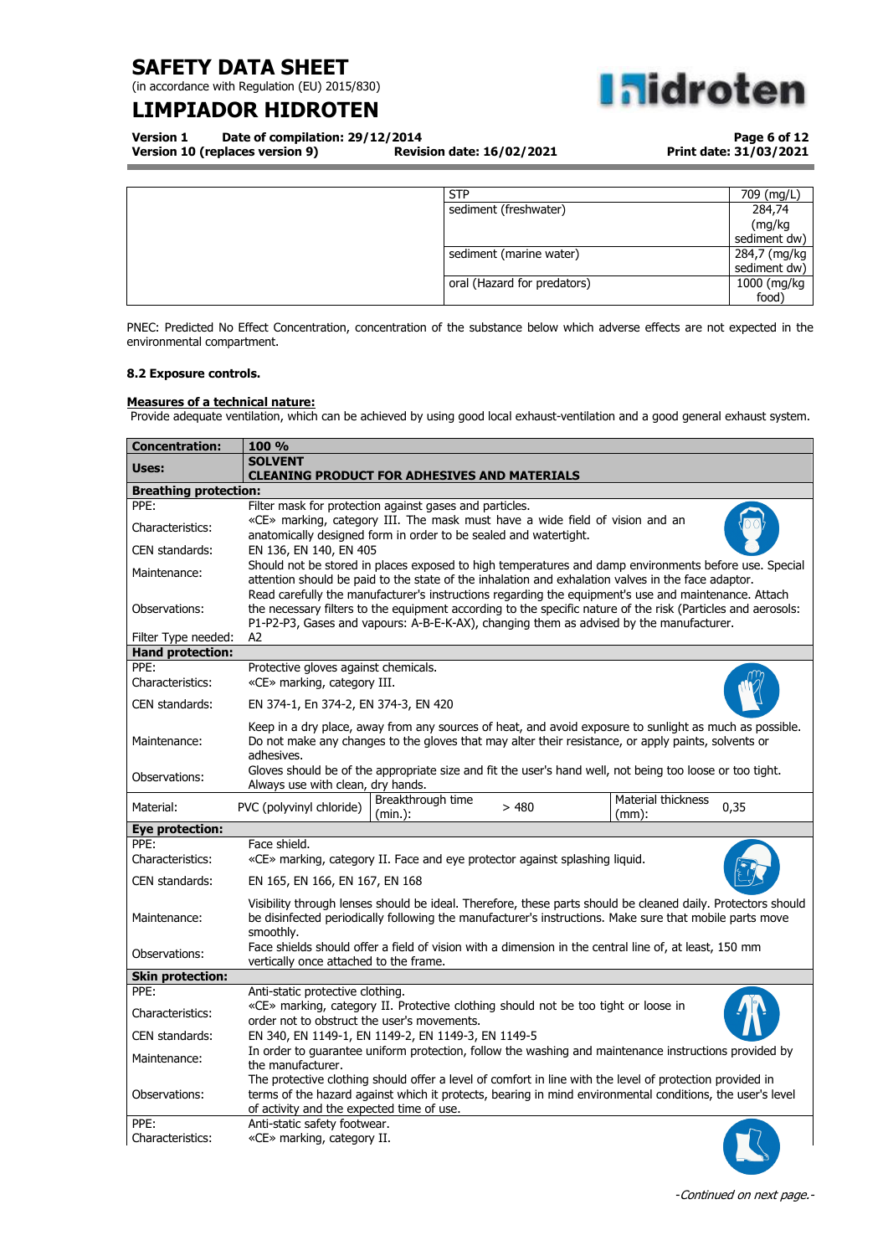(in accordance with Regulation (EU) 2015/830)

## **LIMPIADOR HIDROTEN**



**Version 1 Date of compilation: 29/12/2014 Version 10 (replaces version 9)** 

**Page 6 of 12 Print date: 31/03/2021**

| <b>STP</b>                  | 709 (mg/L)   |
|-----------------------------|--------------|
| sediment (freshwater)       | 284,74       |
|                             | (mg/kg       |
|                             | sediment dw) |
| sediment (marine water)     | 284,7 (mg/kg |
|                             | sediment dw) |
| oral (Hazard for predators) | 1000 (mg/kg  |
|                             | food)        |

PNEC: Predicted No Effect Concentration, concentration of the substance below which adverse effects are not expected in the environmental compartment.

### **8.2 Exposure controls.**

### **Measures of a technical nature:**

Provide adequate ventilation, which can be achieved by using good local exhaust-ventilation and a good general exhaust system.

| <b>Concentration:</b>           | 100 %                                                                                                                                                                                                                                                                                                               |
|---------------------------------|---------------------------------------------------------------------------------------------------------------------------------------------------------------------------------------------------------------------------------------------------------------------------------------------------------------------|
| Uses:                           | <b>SOLVENT</b><br><b>CLEANING PRODUCT FOR ADHESIVES AND MATERIALS</b>                                                                                                                                                                                                                                               |
| <b>Breathing protection:</b>    |                                                                                                                                                                                                                                                                                                                     |
| PPE:                            | Filter mask for protection against gases and particles.                                                                                                                                                                                                                                                             |
| Characteristics:                | «CE» marking, category III. The mask must have a wide field of vision and an<br>anatomically designed form in order to be sealed and watertight.                                                                                                                                                                    |
| CEN standards:                  | EN 136, EN 140, EN 405                                                                                                                                                                                                                                                                                              |
| Maintenance:                    | Should not be stored in places exposed to high temperatures and damp environments before use. Special<br>attention should be paid to the state of the inhalation and exhalation valves in the face adaptor.<br>Read carefully the manufacturer's instructions regarding the equipment's use and maintenance. Attach |
| Observations:                   | the necessary filters to the equipment according to the specific nature of the risk (Particles and aerosols:<br>P1-P2-P3, Gases and vapours: A-B-E-K-AX), changing them as advised by the manufacturer.                                                                                                             |
| Filter Type needed:             | A2                                                                                                                                                                                                                                                                                                                  |
| <b>Hand protection:</b><br>PPE: |                                                                                                                                                                                                                                                                                                                     |
| Characteristics:                | Protective gloves against chemicals.<br>«CE» marking, category III.                                                                                                                                                                                                                                                 |
| CEN standards:                  | EN 374-1, En 374-2, EN 374-3, EN 420                                                                                                                                                                                                                                                                                |
| Maintenance:                    | Keep in a dry place, away from any sources of heat, and avoid exposure to sunlight as much as possible.<br>Do not make any changes to the gloves that may alter their resistance, or apply paints, solvents or<br>adhesives.                                                                                        |
| Observations:                   | Gloves should be of the appropriate size and fit the user's hand well, not being too loose or too tight.<br>Always use with clean, dry hands.                                                                                                                                                                       |
| Material:                       | Breakthrough time<br><b>Material thickness</b><br>PVC (polyvinyl chloride)<br>>480<br>0,35<br>(min.):<br>$(mm)$ :                                                                                                                                                                                                   |
| <b>Eye protection:</b>          |                                                                                                                                                                                                                                                                                                                     |
| PPE:                            | Face shield.                                                                                                                                                                                                                                                                                                        |
| Characteristics:                | «CE» marking, category II. Face and eye protector against splashing liquid.                                                                                                                                                                                                                                         |
| CEN standards:                  | EN 165, EN 166, EN 167, EN 168                                                                                                                                                                                                                                                                                      |
| Maintenance:                    | Visibility through lenses should be ideal. Therefore, these parts should be cleaned daily. Protectors should<br>be disinfected periodically following the manufacturer's instructions. Make sure that mobile parts move<br>smoothly.                                                                                |
| Observations:                   | Face shields should offer a field of vision with a dimension in the central line of, at least, 150 mm<br>vertically once attached to the frame.                                                                                                                                                                     |
| <b>Skin protection:</b>         |                                                                                                                                                                                                                                                                                                                     |
| PPE:                            | Anti-static protective clothing.                                                                                                                                                                                                                                                                                    |
| Characteristics:                | «CE» marking, category II. Protective clothing should not be too tight or loose in<br>order not to obstruct the user's movements.                                                                                                                                                                                   |
| CEN standards:                  | EN 340, EN 1149-1, EN 1149-2, EN 1149-3, EN 1149-5                                                                                                                                                                                                                                                                  |
| Maintenance:                    | In order to guarantee uniform protection, follow the washing and maintenance instructions provided by<br>the manufacturer.                                                                                                                                                                                          |
| Observations:                   | The protective clothing should offer a level of comfort in line with the level of protection provided in<br>terms of the hazard against which it protects, bearing in mind environmental conditions, the user's level<br>of activity and the expected time of use.                                                  |
| PPE:<br>Characteristics:        | Anti-static safety footwear.<br>«CE» marking, category II.                                                                                                                                                                                                                                                          |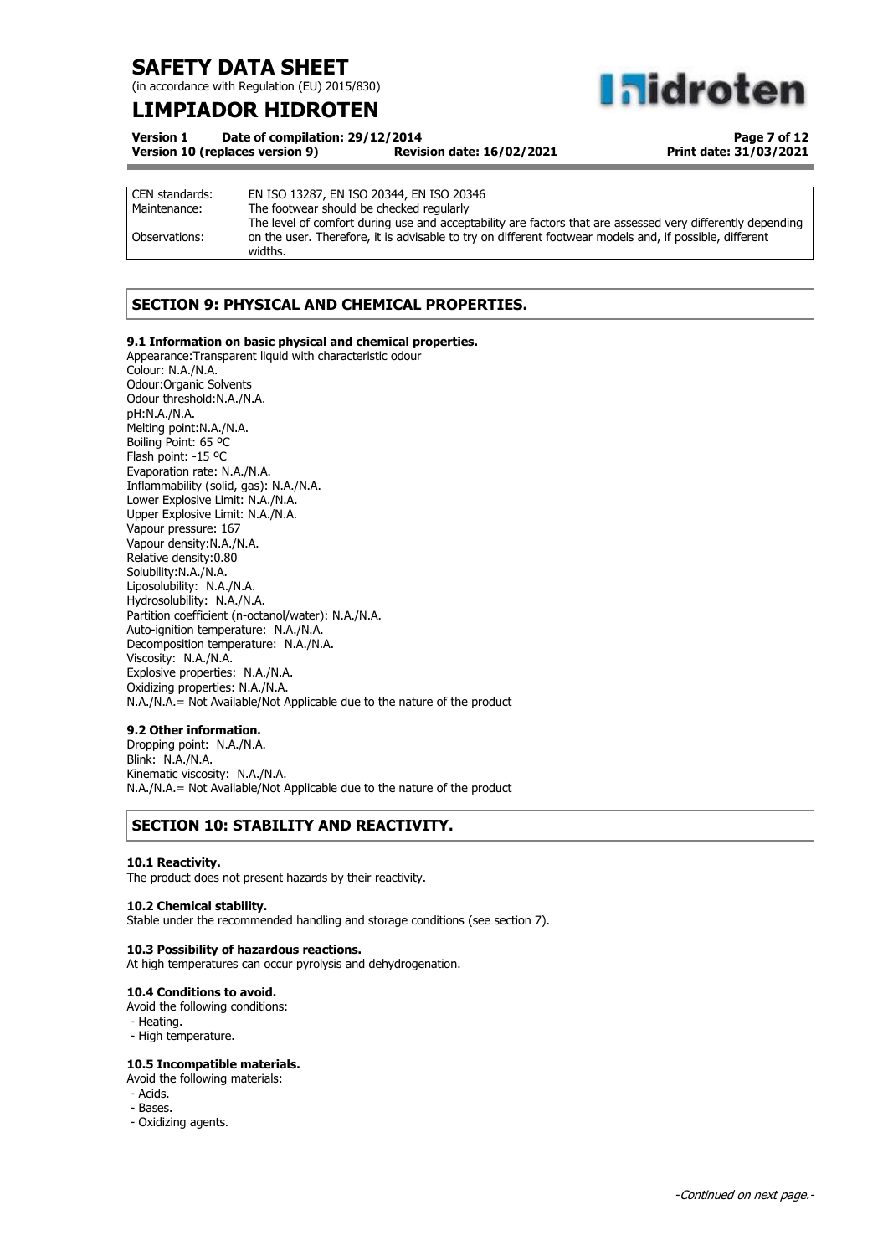(in accordance with Regulation (EU) 2015/830)

## **LIMPIADOR HIDROTEN**

**Midroten** 

| <b>Version 1</b> | Date of compilation: 29/12/2014 |                                  |
|------------------|---------------------------------|----------------------------------|
|                  | Version 10 (replaces version 9) | <b>Revision date: 16/02/2021</b> |

**Page 7 of 12 Print date: 31/03/2021**

| CEN standards: | EN ISO 13287, EN ISO 20344, EN ISO 20346                                                                   |
|----------------|------------------------------------------------------------------------------------------------------------|
| Maintenance:   | The footwear should be checked regularly                                                                   |
|                | The level of comfort during use and acceptability are factors that are assessed very differently depending |
| Observations:  | on the user. Therefore, it is advisable to try on different footwear models and, if possible, different    |
|                | widths.                                                                                                    |

## **SECTION 9: PHYSICAL AND CHEMICAL PROPERTIES.**

### **9.1 Information on basic physical and chemical properties.**

Appearance:Transparent liquid with characteristic odour Colour: N.A./N.A. Odour:Organic Solvents Odour threshold:N.A./N.A. pH:N.A./N.A. Melting point:N.A./N.A. Boiling Point: 65 ºC Flash point: -15 ºC Evaporation rate: N.A./N.A. Inflammability (solid, gas): N.A./N.A. Lower Explosive Limit: N.A./N.A. Upper Explosive Limit: N.A./N.A. Vapour pressure: 167 Vapour density:N.A./N.A. Relative density:0.80 Solubility:N.A./N.A. Liposolubility: N.A./N.A. Hydrosolubility: N.A./N.A. Partition coefficient (n-octanol/water): N.A./N.A. Auto-ignition temperature: N.A./N.A. Decomposition temperature: N.A./N.A. Viscosity: N.A./N.A. Explosive properties: N.A./N.A. Oxidizing properties: N.A./N.A. N.A./N.A.= Not Available/Not Applicable due to the nature of the product

### **9.2 Other information.**

Dropping point: N.A./N.A. Blink: N.A./N.A. Kinematic viscosity: N.A./N.A. N.A./N.A.= Not Available/Not Applicable due to the nature of the product

### **SECTION 10: STABILITY AND REACTIVITY.**

### **10.1 Reactivity.**

The product does not present hazards by their reactivity.

### **10.2 Chemical stability.**

Stable under the recommended handling and storage conditions (see section 7).

### **10.3 Possibility of hazardous reactions.**

At high temperatures can occur pyrolysis and dehydrogenation.

### **10.4 Conditions to avoid.**

Avoid the following conditions:

- Heating.
- High temperature.

### **10.5 Incompatible materials.**

Avoid the following materials:

- Acids.
- Bases.
- Oxidizing agents.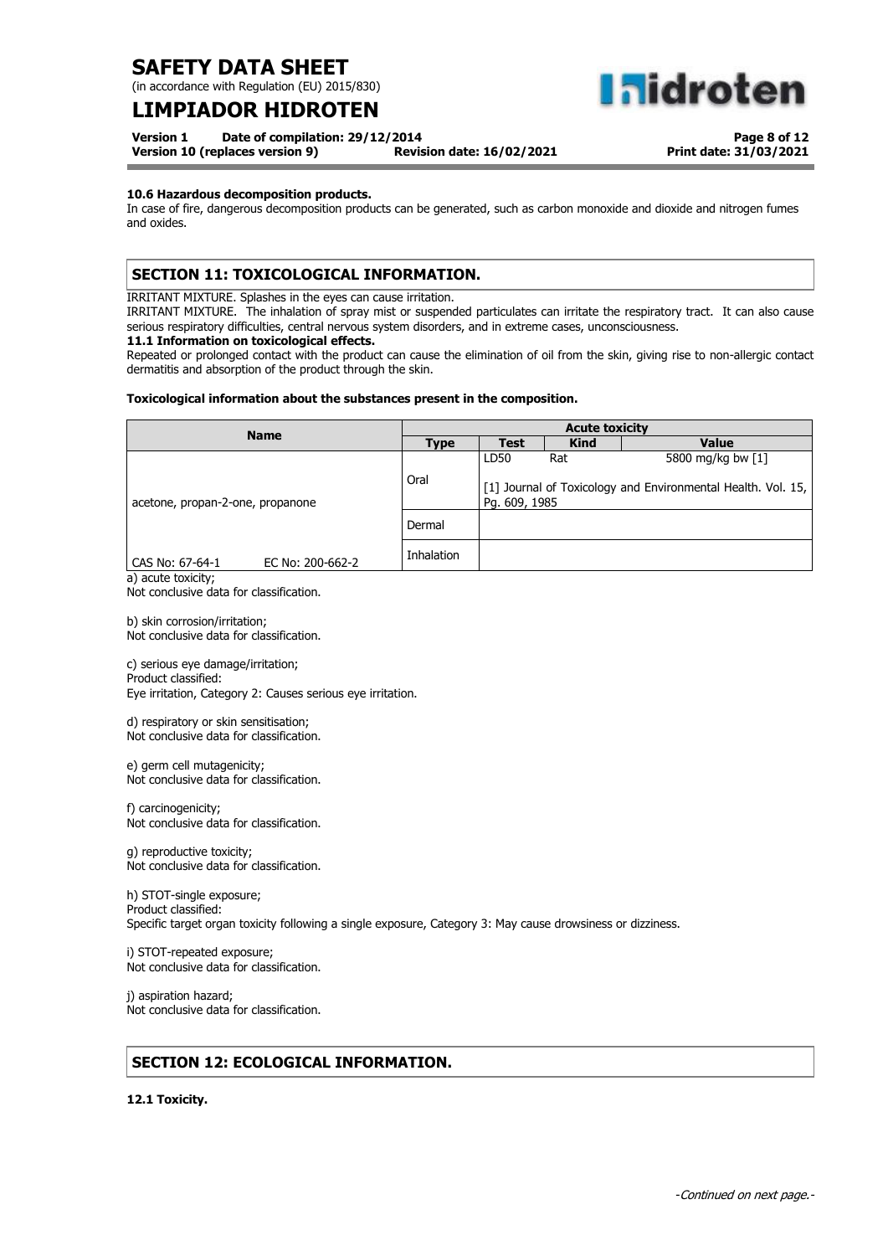(in accordance with Regulation (EU) 2015/830)

## **LIMPIADOR HIDROTEN**

**Version 1 Date of compilation: 29/12/2014**

**Version 10 (replaces version 9) Revision date: 16/02/2021**

**Page 8 of 12 Print date: 31/03/2021**

**aldroten** 

### **10.6 Hazardous decomposition products.**

In case of fire, dangerous decomposition products can be generated, such as carbon monoxide and dioxide and nitrogen fumes and oxides.

### **SECTION 11: TOXICOLOGICAL INFORMATION.**

IRRITANT MIXTURE. Splashes in the eyes can cause irritation.

IRRITANT MIXTURE. The inhalation of spray mist or suspended particulates can irritate the respiratory tract. It can also cause serious respiratory difficulties, central nervous system disorders, and in extreme cases, unconsciousness.

### **11.1 Information on toxicological effects.**

Repeated or prolonged contact with the product can cause the elimination of oil from the skin, giving rise to non-allergic contact dermatitis and absorption of the product through the skin.

### **Toxicological information about the substances present in the composition.**

| <b>Name</b>                         |             | <b>Acute toxicity</b>                                                                            |             |              |  |
|-------------------------------------|-------------|--------------------------------------------------------------------------------------------------|-------------|--------------|--|
|                                     | <b>Type</b> | Test                                                                                             | <b>Kind</b> | <b>Value</b> |  |
|                                     | Oral        | LD50<br>5800 mg/kg bw [1]<br>Rat<br>[1] Journal of Toxicology and Environmental Health. Vol. 15, |             |              |  |
| acetone, propan-2-one, propanone    | Dermal      | Pg. 609, 1985                                                                                    |             |              |  |
| CAS No: 67-64-1<br>EC No: 200-662-2 | Inhalation  |                                                                                                  |             |              |  |

a) acute toxicity; Not conclusive data for classification.

b) skin corrosion/irritation; Not conclusive data for classification.

c) serious eye damage/irritation; Product classified: Eye irritation, Category 2: Causes serious eye irritation.

d) respiratory or skin sensitisation; Not conclusive data for classification.

e) germ cell mutagenicity; Not conclusive data for classification.

f) carcinogenicity; Not conclusive data for classification.

g) reproductive toxicity; Not conclusive data for classification.

h) STOT-single exposure; Product classified: Specific target organ toxicity following a single exposure, Category 3: May cause drowsiness or dizziness.

i) STOT-repeated exposure; Not conclusive data for classification.

j) aspiration hazard; Not conclusive data for classification.

### **SECTION 12: ECOLOGICAL INFORMATION.**

**12.1 Toxicity.**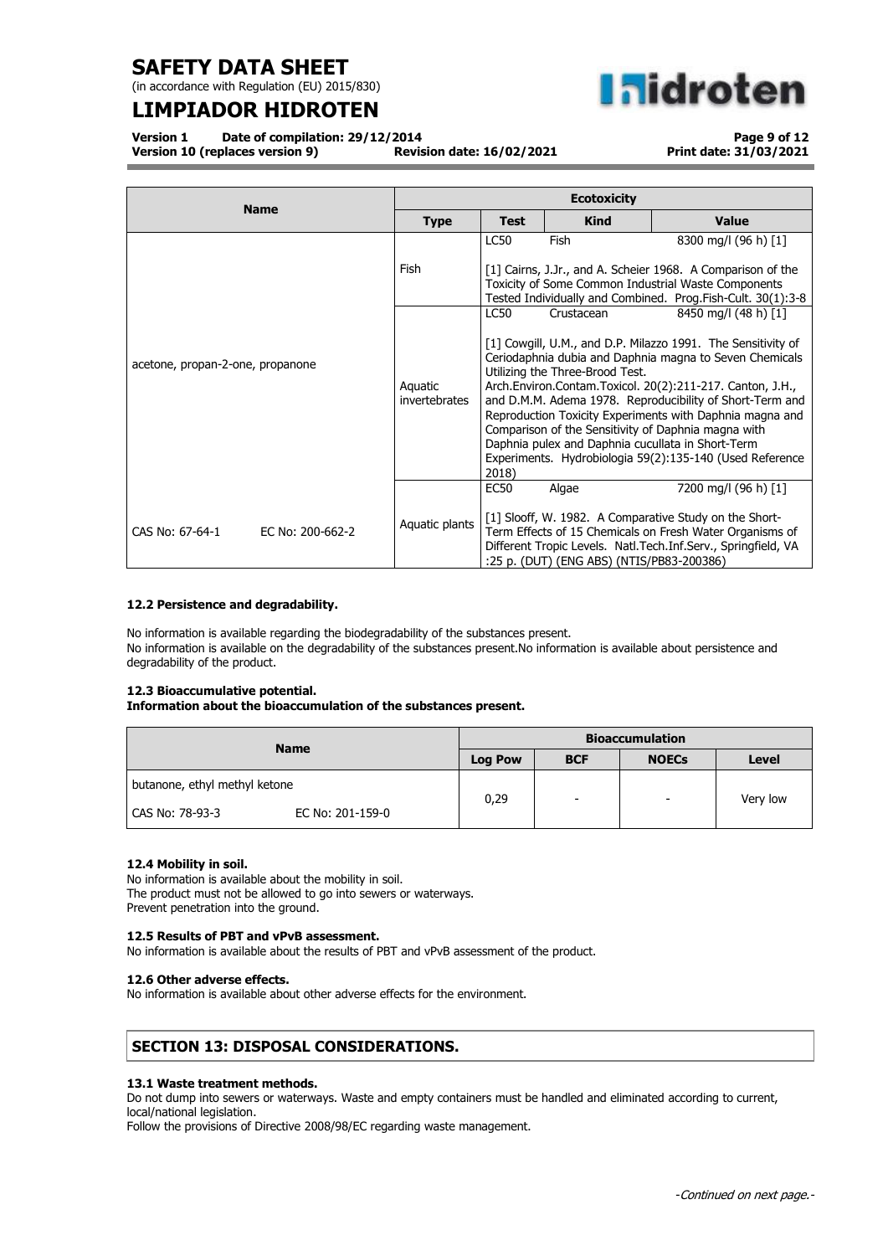(in accordance with Regulation (EU) 2015/830)

## **LIMPIADOR HIDROTEN**

**nidroten** 

**Version 1 Date of compilation: 29/12/2014 Version 10 (replaces version 9)** 

**Page 9 of 12 Print date: 31/03/2021**

|                                     | <b>Ecotoxicity</b>       |                                                                                                                                                                                                                                                                                                                                                                                                                                                                                                                                                                                       |                                                    |                                                                                                                                                                                                                |  |
|-------------------------------------|--------------------------|---------------------------------------------------------------------------------------------------------------------------------------------------------------------------------------------------------------------------------------------------------------------------------------------------------------------------------------------------------------------------------------------------------------------------------------------------------------------------------------------------------------------------------------------------------------------------------------|----------------------------------------------------|----------------------------------------------------------------------------------------------------------------------------------------------------------------------------------------------------------------|--|
| <b>Name</b>                         | <b>Type</b>              | <b>Test</b>                                                                                                                                                                                                                                                                                                                                                                                                                                                                                                                                                                           | <b>Kind</b>                                        | <b>Value</b>                                                                                                                                                                                                   |  |
|                                     | Fish                     | <b>LC50</b><br>Fish<br>8300 mg/l (96 h) [1]<br>[1] Cairns, J.Jr., and A. Scheier 1968. A Comparison of the<br>Toxicity of Some Common Industrial Waste Components<br>Tested Individually and Combined. Prog.Fish-Cult. 30(1):3-8                                                                                                                                                                                                                                                                                                                                                      |                                                    |                                                                                                                                                                                                                |  |
| acetone, propan-2-one, propanone    | Aquatic<br>invertebrates | <b>LC50</b><br>8450 mg/l (48 h) [1]<br>Crustacean<br>[1] Cowgill, U.M., and D.P. Milazzo 1991. The Sensitivity of<br>Ceriodaphnia dubia and Daphnia magna to Seven Chemicals<br>Utilizing the Three-Brood Test.<br>Arch.Environ.Contam.Toxicol. 20(2):211-217. Canton, J.H.,<br>and D.M.M. Adema 1978. Reproducibility of Short-Term and<br>Reproduction Toxicity Experiments with Daphnia magna and<br>Comparison of the Sensitivity of Daphnia magna with<br>Daphnia pulex and Daphnia cucullata in Short-Term<br>Experiments. Hydrobiologia 59(2):135-140 (Used Reference<br>2018) |                                                    |                                                                                                                                                                                                                |  |
| CAS No: 67-64-1<br>EC No: 200-662-2 | Aquatic plants           | EC50                                                                                                                                                                                                                                                                                                                                                                                                                                                                                                                                                                                  | Algae<br>:25 p. (DUT) (ENG ABS) (NTIS/PB83-200386) | 7200 mg/l (96 h) [1]<br>[1] Slooff, W. 1982. A Comparative Study on the Short-<br>Term Effects of 15 Chemicals on Fresh Water Organisms of<br>Different Tropic Levels. Natl. Tech. Inf. Serv., Springfield, VA |  |

### **12.2 Persistence and degradability.**

No information is available regarding the biodegradability of the substances present. No information is available on the degradability of the substances present.No information is available about persistence and degradability of the product.

### **12.3 Bioaccumulative potential.**

**Information about the bioaccumulation of the substances present.**

| <b>Name</b>                           | <b>Bioaccumulation</b> |            |                          |          |
|---------------------------------------|------------------------|------------|--------------------------|----------|
|                                       | <b>Log Pow</b>         | <b>BCF</b> | <b>NOECs</b>             | Level    |
| butanone, ethyl methyl ketone         | 0,29                   | -          | $\overline{\phantom{0}}$ | Very low |
| l CAS No: 78-93-3<br>EC No: 201-159-0 |                        |            |                          |          |

### **12.4 Mobility in soil.**

No information is available about the mobility in soil. The product must not be allowed to go into sewers or waterways. Prevent penetration into the ground.

### **12.5 Results of PBT and vPvB assessment.**

No information is available about the results of PBT and vPvB assessment of the product.

### **12.6 Other adverse effects.**

No information is available about other adverse effects for the environment.

## **SECTION 13: DISPOSAL CONSIDERATIONS.**

### **13.1 Waste treatment methods.**

Do not dump into sewers or waterways. Waste and empty containers must be handled and eliminated according to current, local/national legislation.

Follow the provisions of Directive 2008/98/EC regarding waste management.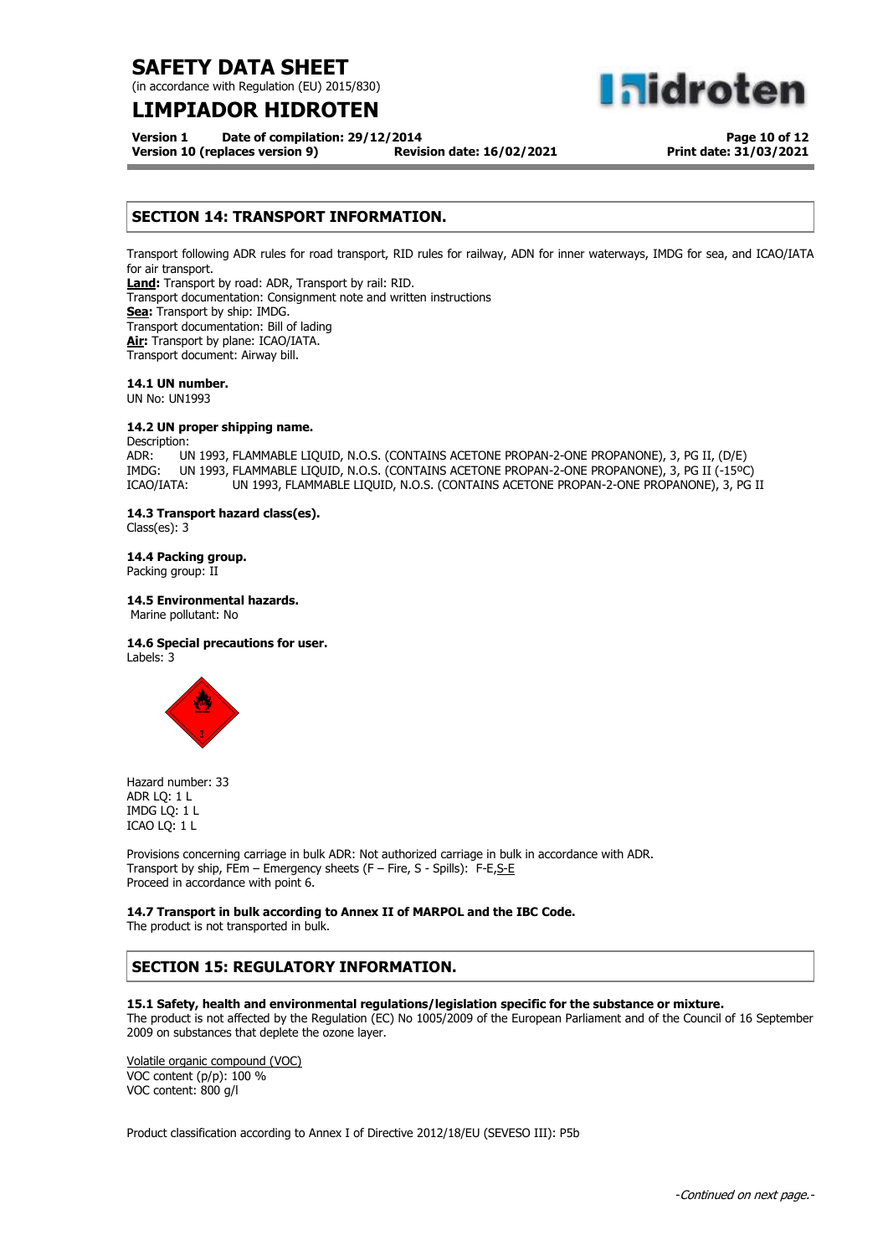(in accordance with Regulation (EU) 2015/830)

## **LIMPIADOR HIDROTEN**

**aldroten** 

**Version 1 Date of compilation: 29/12/2014 Version 10 (replaces version 9) Revision date: 16/02/2021**

**Page 10 of 12 Print date: 31/03/2021**

### **SECTION 14: TRANSPORT INFORMATION.**

Transport following ADR rules for road transport, RID rules for railway, ADN for inner waterways, IMDG for sea, and ICAO/IATA for air transport.

**Land:** Transport by road: ADR, Transport by rail: RID. Transport documentation: Consignment note and written instructions **Sea:** Transport by ship: IMDG. Transport documentation: Bill of lading **Air:** Transport by plane: ICAO/IATA. Transport document: Airway bill.

**14.1 UN number.**

UN No: UN1993

### **14.2 UN proper shipping name.**

Description:

ADR: UN 1993, FLAMMABLE LIQUID, N.O.S. (CONTAINS ACETONE PROPAN-2-ONE PROPANONE), 3, PG II, (D/E) IMDG: UN 1993, FLAMMABLE LIQUID, N.O.S. (CONTAINS ACETONE PROPAN-2-ONE PROPANONE), 3, PG II (-15ºC) ICAO/IATA: UN 1993, FLAMMABLE LIQUID, N.O.S. (CONTAINS ACETONE PROPAN-2-ONE PROPANONE), 3, PG II

### **14.3 Transport hazard class(es).**

Class(es): 3

### **14.4 Packing group.**

Packing group: II

### **14.5 Environmental hazards.**

Marine pollutant: No

### **14.6 Special precautions for user.**

Labels: 3



Hazard number: 33 ADR LQ: 1 L IMDG LQ: 1 L ICAO LQ: 1 L

Provisions concerning carriage in bulk ADR: Not authorized carriage in bulk in accordance with ADR. Transport by ship, FEm – Emergency sheets (F – Fire, S - Spills): F-E, S-E Proceed in accordance with point 6.

### **14.7 Transport in bulk according to Annex II of MARPOL and the IBC Code.**

The product is not transported in bulk.

### **SECTION 15: REGULATORY INFORMATION.**

### **15.1 Safety, health and environmental regulations/legislation specific for the substance or mixture.**

The product is not affected by the Regulation (EC) No 1005/2009 of the European Parliament and of the Council of 16 September 2009 on substances that deplete the ozone layer.

Volatile organic compound (VOC) VOC content (p/p): 100 % VOC content: 800 g/l

Product classification according to Annex I of Directive 2012/18/EU (SEVESO III): P5b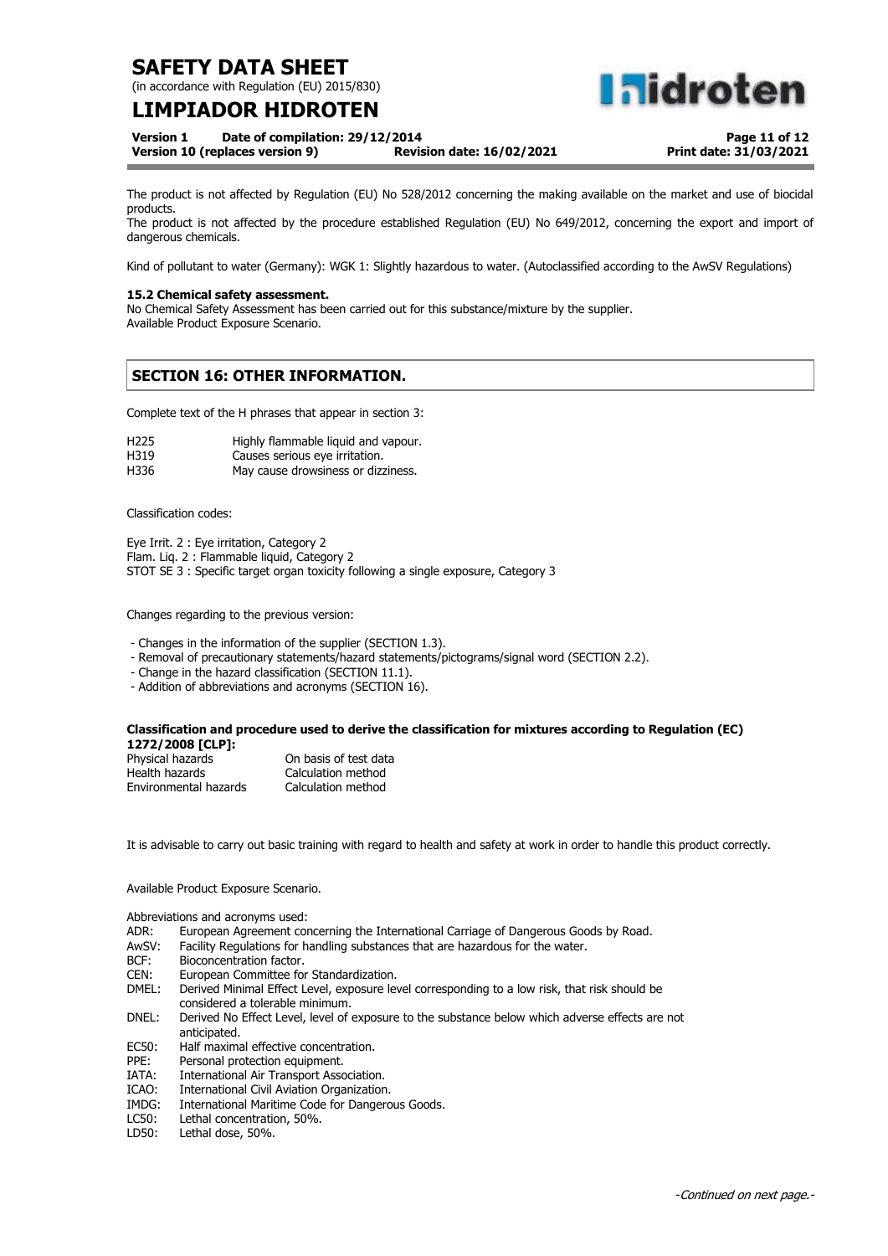(in accordance with Regulation (EU) 2015/830)

## **LIMPIADOR HIDROTEN**

**Version 1 Date of compilation: 29/12/2014**

**Version 10 (replaces version 9) Revision date: 16/02/2021**

**Page 11 of 12 Print date: 31/03/2021**

**hidroten** 

The product is not affected by Regulation (EU) No 528/2012 concerning the making available on the market and use of biocidal products.

The product is not affected by the procedure established Regulation (EU) No 649/2012, concerning the export and import of dangerous chemicals.

Kind of pollutant to water (Germany): WGK 1: Slightly hazardous to water. (Autoclassified according to the AwSV Regulations)

### **15.2 Chemical safety assessment.**

No Chemical Safety Assessment has been carried out for this substance/mixture by the supplier. Available Product Exposure Scenario.

### **SECTION 16: OTHER INFORMATION.**

Complete text of the H phrases that appear in section 3:

| H225 | Highly flammable liquid and vapour. |
|------|-------------------------------------|
| H319 | Causes serious eye irritation.      |
| H336 | May cause drowsiness or dizziness.  |

Classification codes:

Eye Irrit. 2 : Eye irritation, Category 2 Flam. Liq. 2 : Flammable liquid, Category 2 STOT SE 3 : Specific target organ toxicity following a single exposure, Category 3

Changes regarding to the previous version:

- Changes in the information of the supplier (SECTION 1.3).

- Removal of precautionary statements/hazard statements/pictograms/signal word (SECTION 2.2).
- Change in the hazard classification (SECTION 11.1).

- Addition of abbreviations and acronyms (SECTION 16).

#### **Classification and procedure used to derive the classification for mixtures according to Regulation (EC) 1272/2008 [CLP]:**

| Physical hazards      | On basis of test data |
|-----------------------|-----------------------|
| Health hazards        | Calculation method    |
| Environmental hazards | Calculation method    |

It is advisable to carry out basic training with regard to health and safety at work in order to handle this product correctly.

Available Product Exposure Scenario.

Abbreviations and acronyms used:

- ADR: European Agreement concerning the International Carriage of Dangerous Goods by Road.
- AwSV: Facility Regulations for handling substances that are hazardous for the water.
- BCF: Bioconcentration factor.
- CEN: European Committee for Standardization.
- Derived Minimal Effect Level, exposure level corresponding to a low risk, that risk should be considered a tolerable minimum.
- DNEL: Derived No Effect Level, level of exposure to the substance below which adverse effects are not anticipated.
- EC50: Half maximal effective concentration.
- PPE: Personal protection equipment.
- IATA: International Air Transport Association.
- International Civil Aviation Organization.
- IMDG: International Maritime Code for Dangerous Goods.<br>LC50: Lethal concentration, 50%.
- Lethal concentration, 50%.
- LD50: Lethal dose, 50%.